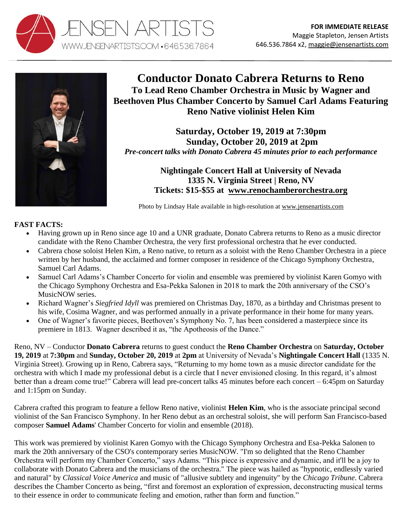



**Conductor Donato Cabrera Returns to Reno To Lead Reno Chamber Orchestra in Music by Wagner and Beethoven Plus Chamber Concerto by Samuel Carl Adams Featuring Reno Native violinist Helen Kim**

**Saturday, October 19, 2019 at 7:30pm Sunday, October 20, 2019 at 2pm**  *Pre-concert talks with Donato Cabrera 45 minutes prior to each performance*

> **Nightingale Concert Hall at University of Nevada 1335 N. Virginia Street | Reno, NV Tickets: \$15-\$55 at [www.renochamberorchestra.org](http://www.renochamberorchestra.org/)**

Photo by Lindsay Hale available in high-resolution at [www.jensenartists.com](http://www.jensenartists.com/donato-cabrera)

## **FAST FACTS:**

- Having grown up in Reno since age 10 and a UNR graduate, Donato Cabrera returns to Reno as a music director candidate with the Reno Chamber Orchestra, the very first professional orchestra that he ever conducted.
- Cabrera chose soloist Helen Kim, a Reno native, to return as a soloist with the Reno Chamber Orchestra in a piece written by her husband, the acclaimed and former composer in residence of the Chicago Symphony Orchestra, Samuel Carl Adams.
- Samuel Carl Adams's Chamber Concerto for violin and ensemble was premiered by violinist Karen Gomyo with the Chicago Symphony Orchestra and Esa-Pekka Salonen in 2018 to mark the 20th anniversary of the CSO's MusicNOW series.
- Richard Wagner's *Siegfried Idyll* was premiered on Christmas Day, 1870, as a birthday and Christmas present to his wife, Cosima Wagner, and was performed annually in a private performance in their home for many years.
- One of Wagner's favorite pieces, Beethoven's Symphony No. 7, has been considered a masterpiece since its premiere in 1813. Wagner described it as, "the Apotheosis of the Dance."

Reno, NV – Conductor **Donato Cabrera** returns to guest conduct the **Reno Chamber Orchestra** on **Saturday, October 19, 2019** at **7:30pm** and **Sunday, October 20, 2019** at **2pm** at University of Nevada's **Nightingale Concert Hall** (1335 N. Virginia Street). Growing up in Reno, Cabrera says, "Returning to my home town as a music director candidate for the orchestra with which I made my professional debut is a circle that I never envisioned closing. In this regard, it's almost better than a dream come true!" Cabrera will lead pre-concert talks 45 minutes before each concert – 6:45pm on Saturday and 1:15pm on Sunday.

Cabrera crafted this program to feature a fellow Reno native, violinist **Helen Kim**, who is the associate principal second violinist of the San Francisco Symphony. In her Reno debut as an orchestral soloist, she will perform San Francisco-based composer **Samuel Adams**' Chamber Concerto for violin and ensemble (2018).

This work was premiered by violinist Karen Gomyo with the Chicago Symphony Orchestra and Esa-Pekka Salonen to mark the 20th anniversary of the CSO's contemporary series MusicNOW. "I'm so delighted that the Reno Chamber Orchestra will perform my Chamber Concerto," says Adams. "This piece is expressive and dynamic, and it'll be a joy to collaborate with Donato Cabrera and the musicians of the orchestra." The piece was hailed as "hypnotic, endlessly varied and natural" by *Classical Voice America* and music of "allusive subtlety and ingenuity" by the *Chicago Tribune*. Cabrera describes the Chamber Concerto as being, "first and foremost an exploration of expression, deconstructing musical terms to their essence in order to communicate feeling and emotion, rather than form and function."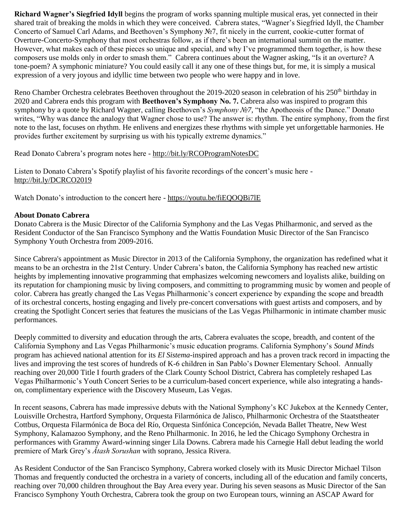**Richard Wagner's Siegfried Idyll** begins the program of works spanning multiple musical eras, yet connected in their shared trait of breaking the molds in which they were conceived. Cabrera states, "Wagner's Siegfried Idyll, the Chamber Concerto of Samuel Carl Adams, and Beethoven's Symphony №7, fit nicely in the current, cookie-cutter format of Overture-Concerto-Symphony that most orchestras follow, as if there's been an international summit on the matter. However, what makes each of these pieces so unique and special, and why I've programmed them together, is how these composers use molds only in order to smash them." Cabrera continues about the Wagner asking, "Is it an overture? A tone-poem? A symphonic miniature? You could easily call it any one of these things but, for me, it is simply a musical expression of a very joyous and idyllic time between two people who were happy and in love.

Reno Chamber Orchestra celebrates Beethoven throughout the 2019-2020 season in celebration of his 250<sup>th</sup> birthday in 2020 and Cabrera ends this program with **Beethoven's Symphony No. 7.** Cabrera also was inspired to program this symphony by a quote by Richard Wagner, calling Beethoven's *Symphony №7,* "the Apotheosis of the Dance." Donato writes, "Why was dance the analogy that Wagner chose to use? The answer is: rhythm. The entire symphony, from the first note to the last, focuses on rhythm. He enlivens and energizes these rhythms with simple yet unforgettable harmonies. He provides further excitement by surprising us with his typically extreme dynamics."

Read Donato Cabrera's program notes here - <http://bit.ly/RCOProgramNotesDC>

Listen to Donato Cabrera's Spotify playlist of his favorite recordings of the concert's music here <http://bit.ly/DCRCO2019>

Watch Donato's introduction to the concert here - <https://youtu.be/fiEQOQBi7lE>

#### **About Donato Cabrera**

Donato Cabrera is the Music Director of the California Symphony and the Las Vegas Philharmonic, and served as the Resident Conductor of the San Francisco Symphony and the Wattis Foundation Music Director of the San Francisco Symphony Youth Orchestra from 2009-2016.

Since Cabrera's appointment as Music Director in 2013 of the California Symphony, the organization has redefined what it means to be an orchestra in the 21st Century. Under Cabrera's baton, the California Symphony has reached new artistic heights by implementing innovative programming that emphasizes welcoming newcomers and loyalists alike, building on its reputation for championing music by living composers, and committing to programming music by women and people of color. Cabrera has greatly changed the Las Vegas Philharmonic's concert experience by expanding the scope and breadth of its orchestral concerts, hosting engaging and lively pre-concert conversations with guest artists and composers, and by creating the Spotlight Concert series that features the musicians of the Las Vegas Philharmonic in intimate chamber music performances.

Deeply committed to diversity and education through the arts, Cabrera evaluates the scope, breadth, and content of the California Symphony and Las Vegas Philharmonic's music education programs. California Symphony's *Sound Minds* program has achieved national attention for its *El Sistema*-inspired approach and has a proven track record in impacting the lives and improving the test scores of hundreds of K-6 children in San Pablo's Downer Elementary School. Annually reaching over 20,000 Title I fourth graders of the Clark County School District, Cabrera has completely reshaped Las Vegas Philharmonic's Youth Concert Series to be a curriculum-based concert experience, while also integrating a handson, complimentary experience with the Discovery Museum, Las Vegas.

In recent seasons, Cabrera has made impressive debuts with the National Symphony's KC Jukebox at the Kennedy Center, Louisville Orchestra, Hartford Symphony, Orquesta Filarmónica de Jalisco, Philharmonic Orchestra of the Staatstheater Cottbus, Orquesta Filarmónica de Boca del Río, Orquesta Sinfónica Concepción, Nevada Ballet Theatre, New West Symphony, Kalamazoo Symphony, and the Reno Philharmonic. In 2016, he led the Chicago Symphony Orchestra in performances with Grammy Award-winning singer Lila Downs. Cabrera made his Carnegie Hall debut leading the world premiere of Mark Grey's *Ătash Sorushan* with soprano, Jessica Rivera.

As Resident Conductor of the San Francisco Symphony, Cabrera worked closely with its Music Director Michael Tilson Thomas and frequently conducted the orchestra in a variety of concerts, including all of the education and family concerts, reaching over 70,000 children throughout the Bay Area every year. During his seven seasons as Music Director of the San Francisco Symphony Youth Orchestra, Cabrera took the group on two European tours, winning an ASCAP Award for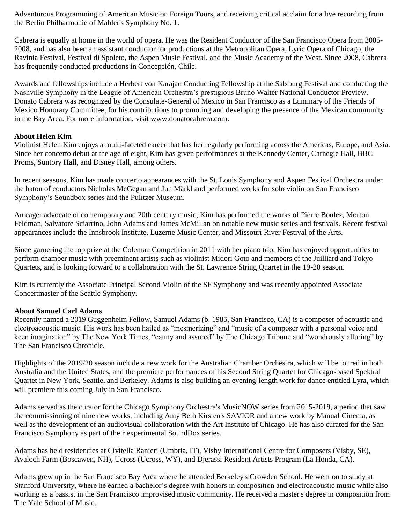Adventurous Programming of American Music on Foreign Tours, and receiving critical acclaim for a live recording from the Berlin Philharmonie of Mahler's Symphony No. 1.

Cabrera is equally at home in the world of opera. He was the Resident Conductor of the San Francisco Opera from 2005- 2008, and has also been an assistant conductor for productions at the Metropolitan Opera, Lyric Opera of Chicago, the Ravinia Festival, Festival di Spoleto, the Aspen Music Festival, and the Music Academy of the West. Since 2008, Cabrera has frequently conducted productions in Concepción, Chile.

Awards and fellowships include a Herbert von Karajan Conducting Fellowship at the Salzburg Festival and conducting the Nashville Symphony in the League of American Orchestra's prestigious Bruno Walter National Conductor Preview. Donato Cabrera was recognized by the Consulate-General of Mexico in San Francisco as a Luminary of the Friends of Mexico Honorary Committee, for his contributions to promoting and developing the presence of the Mexican community in the Bay Area. For more information, visit [www.donatocabrera.com.](http://www.donatocabrera.com/)

### **About Helen Kim**

Violinist Helen Kim enjoys a multi-faceted career that has her regularly performing across the Americas, Europe, and Asia. Since her concerto debut at the age of eight, Kim has given performances at the Kennedy Center, Carnegie Hall, BBC Proms, Suntory Hall, and Disney Hall, among others.

In recent seasons, Kim has made concerto appearances with the St. Louis Symphony and Aspen Festival Orchestra under the baton of conductors Nicholas McGegan and Jun Märkl and performed works for solo violin on San Francisco Symphony's Soundbox series and the Pulitzer Museum.

An eager advocate of contemporary and 20th century music, Kim has performed the works of Pierre Boulez, Morton Feldman, Salvatore Sciarrino, John Adams and James McMillan on notable new music series and festivals. Recent festival appearances include the Innsbrook Institute, Luzerne Music Center, and Missouri River Festival of the Arts.

Since garnering the top prize at the Coleman Competition in 2011 with her piano trio, Kim has enjoyed opportunities to perform chamber music with preeminent artists such as violinist Midori Goto and members of the Juilliard and Tokyo Quartets, and is looking forward to a collaboration with the St. Lawrence String Quartet in the 19-20 season.

Kim is currently the Associate Principal Second Violin of the SF Symphony and was recently appointed Associate Concertmaster of the Seattle Symphony.

### **About Samuel Carl Adams**

Recently named a 2019 Guggenheim Fellow, Samuel Adams (b. 1985, San Francisco, CA) is a composer of acoustic and electroacoustic music. His work has been hailed as "mesmerizing" and "music of a composer with a personal voice and keen imagination" by The New York Times, "canny and assured" by The Chicago Tribune and "wondrously alluring" by The San Francisco Chronicle.

Highlights of the 2019/20 season include a new work for the Australian Chamber Orchestra, which will be toured in both Australia and the United States, and the premiere performances of his Second String Quartet for Chicago-based Spektral Quartet in New York, Seattle, and Berkeley. Adams is also building an evening-length work for dance entitled Lyra, which will premiere this coming July in San Francisco.

Adams served as the curator for the Chicago Symphony Orchestra's MusicNOW series from 2015-2018, a period that saw the commissioning of nine new works, including Amy Beth Kirsten's SAVIOR and a new work by Manual Cinema, as well as the development of an audiovisual collaboration with the Art Institute of Chicago. He has also curated for the San Francisco Symphony as part of their experimental SoundBox series.

Adams has held residencies at Civitella Ranieri (Umbria, IT), Visby International Centre for Composers (Visby, SE), Avaloch Farm (Boscawen, NH), Ucross (Ucross, WY), and Djerassi Resident Artists Program (La Honda, CA).

Adams grew up in the San Francisco Bay Area where he attended Berkeley's Crowden School. He went on to study at Stanford University, where he earned a bachelor's degree with honors in composition and electroacoustic music while also working as a bassist in the San Francisco improvised music community. He received a master's degree in composition from The Yale School of Music.